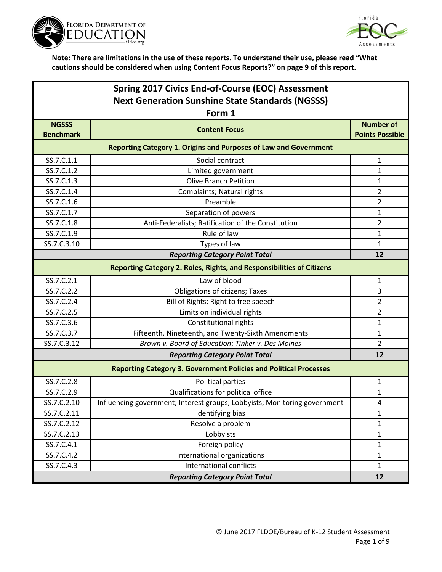



| Spring 2017 Civics End-of-Course (EOC) Assessment       |                                                                           |                        |
|---------------------------------------------------------|---------------------------------------------------------------------------|------------------------|
| <b>Next Generation Sunshine State Standards (NGSSS)</b> |                                                                           |                        |
|                                                         | Form 1                                                                    |                        |
| <b>NGSSS</b>                                            | <b>Content Focus</b>                                                      | <b>Number of</b>       |
| <b>Benchmark</b>                                        |                                                                           | <b>Points Possible</b> |
|                                                         | <b>Reporting Category 1. Origins and Purposes of Law and Government</b>   |                        |
| SS.7.C.1.1                                              | Social contract                                                           | 1                      |
| SS.7.C.1.2                                              | Limited government                                                        | $\mathbf 1$            |
| SS.7.C.1.3                                              | <b>Olive Branch Petition</b>                                              | 1                      |
| SS.7.C.1.4                                              | Complaints; Natural rights                                                | $\overline{2}$         |
| SS.7.C.1.6                                              | Preamble                                                                  | $\overline{2}$         |
| SS.7.C.1.7                                              | Separation of powers                                                      | $\mathbf{1}$           |
| SS.7.C.1.8                                              | Anti-Federalists; Ratification of the Constitution                        | $\overline{2}$         |
| SS.7.C.1.9                                              | Rule of law                                                               | 1                      |
| SS.7.C.3.10                                             | Types of law                                                              | 1                      |
|                                                         | <b>Reporting Category Point Total</b>                                     | 12                     |
|                                                         | Reporting Category 2. Roles, Rights, and Responsibilities of Citizens     |                        |
| SS.7.C.2.1                                              | Law of blood                                                              | 1                      |
| SS.7.C.2.2                                              | <b>Obligations of citizens; Taxes</b>                                     | 3                      |
| SS.7.C.2.4                                              | Bill of Rights; Right to free speech                                      | $\overline{2}$         |
| SS.7.C.2.5                                              | Limits on individual rights                                               | $\overline{2}$         |
| SS.7.C.3.6                                              | Constitutional rights                                                     | $\mathbf 1$            |
| SS.7.C.3.7                                              | Fifteenth, Nineteenth, and Twenty-Sixth Amendments                        | 1                      |
| SS.7.C.3.12                                             | Brown v. Board of Education; Tinker v. Des Moines                         | $\overline{2}$         |
|                                                         | <b>Reporting Category Point Total</b>                                     | 12                     |
|                                                         | <b>Reporting Category 3. Government Policies and Political Processes</b>  |                        |
| SS.7.C.2.8                                              | Political parties                                                         | 1                      |
| SS.7.C.2.9                                              | Qualifications for political office                                       | $\mathbf{1}$           |
| SS.7.C.2.10                                             | Influencing government; Interest groups; Lobbyists; Monitoring government | 4                      |
| SS.7.C.2.11                                             | Identifying bias                                                          | 1                      |
| SS.7.C.2.12                                             | Resolve a problem                                                         | 1                      |
| SS.7.C.2.13                                             | Lobbyists                                                                 | $\mathbf{1}$           |
| SS.7.C.4.1                                              | Foreign policy                                                            | $\mathbf{1}$           |
| SS.7.C.4.2                                              | International organizations                                               | $\mathbf{1}$           |
| SS.7.C.4.3                                              | International conflicts                                                   | $\mathbf{1}$           |
|                                                         | <b>Reporting Category Point Total</b>                                     | 12                     |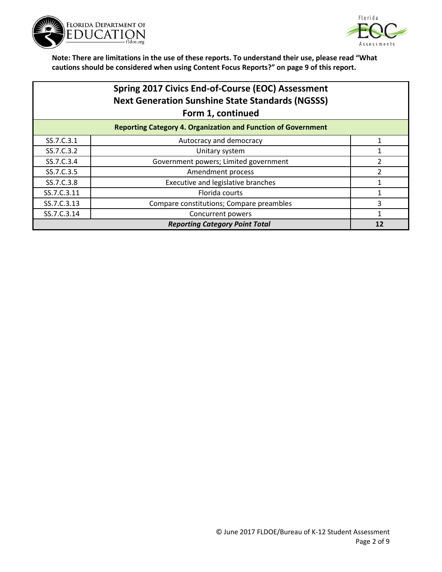



|                                       | Spring 2017 Civics End-of-Course (EOC) Assessment<br><b>Next Generation Sunshine State Standards (NGSSS)</b><br>Form 1, continued |    |
|---------------------------------------|-----------------------------------------------------------------------------------------------------------------------------------|----|
|                                       | <b>Reporting Category 4. Organization and Function of Government</b>                                                              |    |
| SS.7.C.3.1                            | Autocracy and democracy                                                                                                           |    |
| SS.7.C.3.2                            | Unitary system                                                                                                                    |    |
| SS.7.C.3.4                            | Government powers; Limited government                                                                                             | 2  |
| SS.7.C.3.5                            | Amendment process                                                                                                                 | 2  |
| SS.7.C.3.8                            | Executive and legislative branches                                                                                                |    |
| SS.7.C.3.11                           | Florida courts                                                                                                                    |    |
| SS.7.C.3.13                           | Compare constitutions; Compare preambles                                                                                          | 3  |
| SS.7.C.3.14                           | Concurrent powers                                                                                                                 | 1  |
| <b>Reporting Category Point Total</b> |                                                                                                                                   | 12 |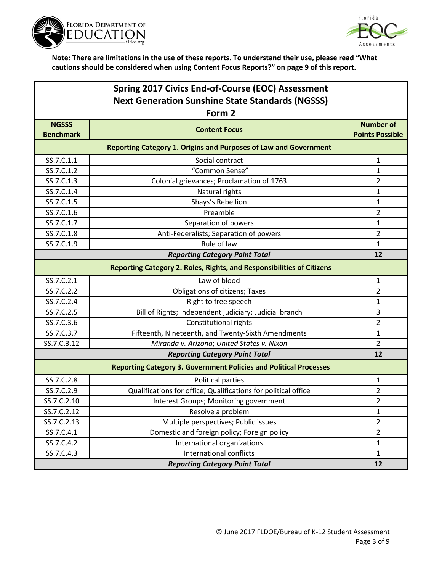



| Spring 2017 Civics End-of-Course (EOC) Assessment       |                                                                          |                                            |
|---------------------------------------------------------|--------------------------------------------------------------------------|--------------------------------------------|
| <b>Next Generation Sunshine State Standards (NGSSS)</b> |                                                                          |                                            |
|                                                         | Form 2                                                                   |                                            |
| <b>NGSSS</b><br><b>Benchmark</b>                        | <b>Content Focus</b>                                                     | <b>Number of</b><br><b>Points Possible</b> |
|                                                         | Reporting Category 1. Origins and Purposes of Law and Government         |                                            |
| SS.7.C.1.1                                              | Social contract                                                          | $\mathbf{1}$                               |
| SS.7.C.1.2                                              | "Common Sense"                                                           | 1                                          |
| SS.7.C.1.3                                              | Colonial grievances; Proclamation of 1763                                | 2                                          |
| SS.7.C.1.4                                              | Natural rights                                                           | 1                                          |
| SS.7.C.1.5                                              | Shays's Rebellion                                                        | 1                                          |
| SS.7.C.1.6                                              | Preamble                                                                 | $\overline{2}$                             |
| SS.7.C.1.7                                              | Separation of powers                                                     | $\mathbf{1}$                               |
| SS.7.C.1.8                                              | Anti-Federalists; Separation of powers                                   | $\overline{2}$                             |
| SS.7.C.1.9                                              | Rule of law                                                              | 1                                          |
|                                                         | <b>Reporting Category Point Total</b>                                    | 12                                         |
|                                                         | Reporting Category 2. Roles, Rights, and Responsibilities of Citizens    |                                            |
| SS.7.C.2.1                                              | Law of blood                                                             | $\mathbf{1}$                               |
| SS.7.C.2.2                                              | Obligations of citizens; Taxes                                           | $\overline{2}$                             |
| SS.7.C.2.4                                              | Right to free speech                                                     | 1                                          |
| SS.7.C.2.5                                              | Bill of Rights; Independent judiciary; Judicial branch                   | 3                                          |
| SS.7.C.3.6                                              | Constitutional rights                                                    | $\overline{2}$                             |
| SS.7.C.3.7                                              | Fifteenth, Nineteenth, and Twenty-Sixth Amendments                       | $\mathbf{1}$                               |
| SS.7.C.3.12                                             | Miranda v. Arizona; United States v. Nixon                               | $\overline{2}$                             |
|                                                         | <b>Reporting Category Point Total</b>                                    | 12                                         |
|                                                         | <b>Reporting Category 3. Government Policies and Political Processes</b> |                                            |
| SS.7.C.2.8                                              | Political parties                                                        | 1                                          |
| SS.7.C.2.9                                              | Qualifications for office; Qualifications for political office           | $\overline{2}$                             |
| SS.7.C.2.10                                             | Interest Groups; Monitoring government                                   | $\overline{2}$                             |
| SS.7.C.2.12                                             | Resolve a problem                                                        | 1                                          |
| SS.7.C.2.13                                             | Multiple perspectives; Public issues                                     | $\overline{2}$                             |
| SS.7.C.4.1                                              | Domestic and foreign policy; Foreign policy                              | $\overline{2}$                             |
| SS.7.C.4.2                                              | International organizations                                              | $\mathbf{1}$                               |
| SS.7.C.4.3                                              | International conflicts                                                  | $\mathbf{1}$                               |
|                                                         | <b>Reporting Category Point Total</b>                                    | 12                                         |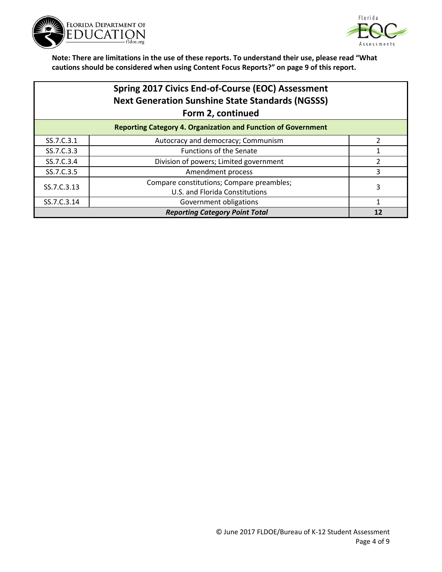



|                                       | <b>Spring 2017 Civics End-of-Course (EOC) Assessment</b><br><b>Next Generation Sunshine State Standards (NGSSS)</b><br>Form 2, continued |    |
|---------------------------------------|------------------------------------------------------------------------------------------------------------------------------------------|----|
|                                       | <b>Reporting Category 4. Organization and Function of Government</b>                                                                     |    |
| SS.7.C.3.1                            | Autocracy and democracy; Communism                                                                                                       |    |
| SS.7.C.3.3                            | <b>Functions of the Senate</b>                                                                                                           |    |
| SS.7.C.3.4                            | Division of powers; Limited government                                                                                                   | 2  |
| SS.7.C.3.5                            | Amendment process                                                                                                                        | 3  |
| SS.7.C.3.13                           | Compare constitutions; Compare preambles;                                                                                                | 3  |
|                                       | U.S. and Florida Constitutions                                                                                                           |    |
| SS.7.C.3.14                           | Government obligations                                                                                                                   | 1  |
| <b>Reporting Category Point Total</b> |                                                                                                                                          | 12 |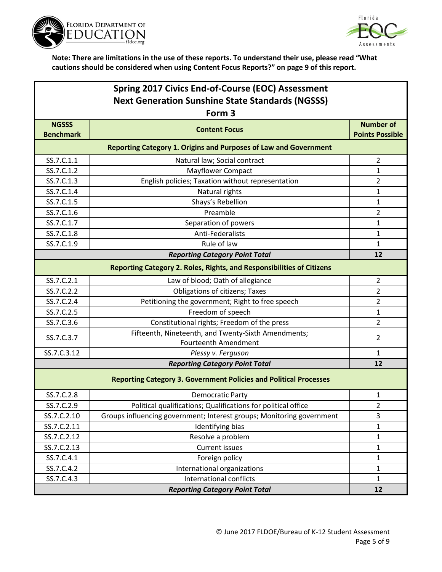



| Spring 2017 Civics End-of-Course (EOC) Assessment                            |                                                                              |                        |  |  |
|------------------------------------------------------------------------------|------------------------------------------------------------------------------|------------------------|--|--|
| <b>Next Generation Sunshine State Standards (NGSSS)</b><br>Form <sub>3</sub> |                                                                              |                        |  |  |
| <b>NGSSS</b><br><b>Benchmark</b>                                             | <b>Content Focus</b>                                                         | <b>Number of</b>       |  |  |
|                                                                              |                                                                              | <b>Points Possible</b> |  |  |
|                                                                              | <b>Reporting Category 1. Origins and Purposes of Law and Government</b>      |                        |  |  |
| SS.7.C.1.1                                                                   | Natural law; Social contract                                                 | $\overline{2}$         |  |  |
| SS.7.C.1.2                                                                   | <b>Mayflower Compact</b>                                                     | $\mathbf 1$            |  |  |
| SS.7.C.1.3                                                                   | English policies; Taxation without representation                            | $\overline{2}$         |  |  |
| SS.7.C.1.4                                                                   | Natural rights                                                               | $\mathbf 1$            |  |  |
| SS.7.C.1.5                                                                   | Shays's Rebellion                                                            | 1                      |  |  |
| SS.7.C.1.6                                                                   | Preamble                                                                     | $\overline{2}$         |  |  |
| SS.7.C.1.7                                                                   | Separation of powers                                                         | $\mathbf 1$            |  |  |
| SS.7.C.1.8                                                                   | Anti-Federalists                                                             | $\mathbf 1$            |  |  |
| SS.7.C.1.9                                                                   | Rule of law                                                                  | 1                      |  |  |
|                                                                              | <b>Reporting Category Point Total</b>                                        | 12                     |  |  |
|                                                                              | <b>Reporting Category 2. Roles, Rights, and Responsibilities of Citizens</b> |                        |  |  |
| SS.7.C.2.1                                                                   | Law of blood; Oath of allegiance                                             | $\overline{2}$         |  |  |
| SS.7.C.2.2                                                                   | Obligations of citizens; Taxes                                               | $\overline{2}$         |  |  |
| SS.7.C.2.4                                                                   | Petitioning the government; Right to free speech                             | $\overline{2}$         |  |  |
| SS.7.C.2.5                                                                   | Freedom of speech                                                            | 1                      |  |  |
| SS.7.C.3.6                                                                   | Constitutional rights; Freedom of the press                                  | $\overline{2}$         |  |  |
| SS.7.C.3.7                                                                   | Fifteenth, Nineteenth, and Twenty-Sixth Amendments;<br>Fourteenth Amendment  | 2                      |  |  |
| SS.7.C.3.12                                                                  | Plessy v. Ferguson                                                           | $\mathbf{1}$           |  |  |
|                                                                              | <b>Reporting Category Point Total</b>                                        | 12                     |  |  |
|                                                                              | <b>Reporting Category 3. Government Policies and Political Processes</b>     |                        |  |  |
| SS.7.C.2.8                                                                   | <b>Democratic Party</b>                                                      | 1                      |  |  |
| SS.7.C.2.9                                                                   | Political qualifications; Qualifications for political office                | 2                      |  |  |
| SS.7.C.2.10                                                                  | Groups influencing government; Interest groups; Monitoring government        | 3                      |  |  |
| SS.7.C.2.11                                                                  | Identifying bias                                                             | $\mathbf{1}$           |  |  |
| SS.7.C.2.12                                                                  | Resolve a problem                                                            | $\mathbf{1}$           |  |  |
| SS.7.C.2.13                                                                  | <b>Current issues</b>                                                        | $\mathbf{1}$           |  |  |
| SS.7.C.4.1                                                                   | Foreign policy                                                               | $\mathbf{1}$           |  |  |
| SS.7.C.4.2                                                                   | International organizations                                                  | $\mathbf{1}$           |  |  |
| SS.7.C.4.3                                                                   | International conflicts                                                      | $\mathbf{1}$           |  |  |
|                                                                              | <b>Reporting Category Point Total</b>                                        | 12                     |  |  |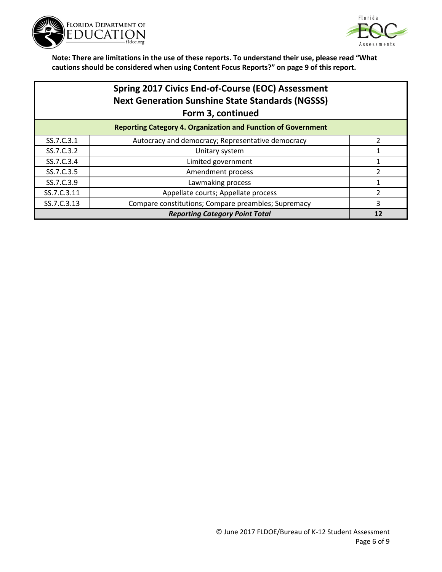



|             | Spring 2017 Civics End-of-Course (EOC) Assessment<br><b>Next Generation Sunshine State Standards (NGSSS)</b><br>Form 3, continued |    |
|-------------|-----------------------------------------------------------------------------------------------------------------------------------|----|
|             | <b>Reporting Category 4. Organization and Function of Government</b>                                                              |    |
| SS.7.C.3.1  | Autocracy and democracy; Representative democracy                                                                                 | າ  |
| SS.7.C.3.2  | Unitary system                                                                                                                    |    |
| SS.7.C.3.4  | Limited government                                                                                                                |    |
| SS.7.C.3.5  | Amendment process                                                                                                                 |    |
| SS.7.C.3.9  | Lawmaking process                                                                                                                 |    |
| SS.7.C.3.11 | Appellate courts; Appellate process                                                                                               | 2  |
| SS.7.C.3.13 | Compare constitutions; Compare preambles; Supremacy                                                                               | 3  |
|             | <b>Reporting Category Point Total</b>                                                                                             | 12 |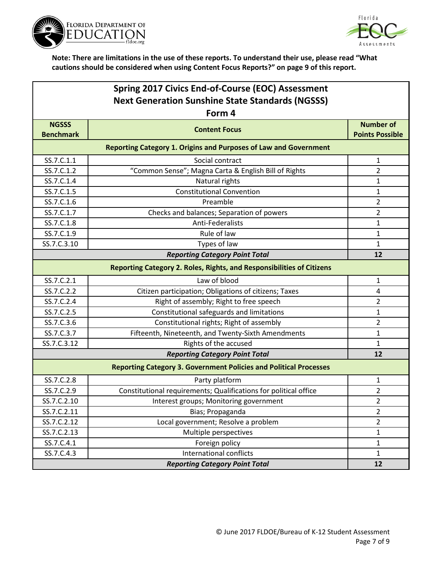



| Spring 2017 Civics End-of-Course (EOC) Assessment       |                                                                          |                        |
|---------------------------------------------------------|--------------------------------------------------------------------------|------------------------|
| <b>Next Generation Sunshine State Standards (NGSSS)</b> |                                                                          |                        |
|                                                         | Form 4                                                                   |                        |
| <b>NGSSS</b>                                            | <b>Content Focus</b>                                                     | <b>Number of</b>       |
| <b>Benchmark</b>                                        |                                                                          | <b>Points Possible</b> |
|                                                         | <b>Reporting Category 1. Origins and Purposes of Law and Government</b>  |                        |
| SS.7.C.1.1                                              | Social contract                                                          | 1                      |
| SS.7.C.1.2                                              | "Common Sense"; Magna Carta & English Bill of Rights                     | $\overline{2}$         |
| SS.7.C.1.4                                              | Natural rights                                                           | 1                      |
| SS.7.C.1.5                                              | <b>Constitutional Convention</b>                                         | 1                      |
| SS.7.C.1.6                                              | Preamble                                                                 | $\overline{2}$         |
| SS.7.C.1.7                                              | Checks and balances; Separation of powers                                | $\overline{2}$         |
| SS.7.C.1.8                                              | <b>Anti-Federalists</b>                                                  | 1                      |
| SS.7.C.1.9                                              | Rule of law                                                              | 1                      |
| SS.7.C.3.10                                             | Types of law                                                             | $\mathbf{1}$           |
|                                                         | <b>Reporting Category Point Total</b>                                    | 12                     |
|                                                         | Reporting Category 2. Roles, Rights, and Responsibilities of Citizens    |                        |
| SS.7.C.2.1                                              | Law of blood                                                             | $\mathbf{1}$           |
| SS.7.C.2.2                                              | Citizen participation; Obligations of citizens; Taxes                    | 4                      |
| SS.7.C.2.4                                              | Right of assembly; Right to free speech                                  | $\overline{2}$         |
| SS.7.C.2.5                                              | Constitutional safeguards and limitations                                | 1                      |
| SS.7.C.3.6                                              | Constitutional rights; Right of assembly                                 | 2                      |
| SS.7.C.3.7                                              | Fifteenth, Nineteenth, and Twenty-Sixth Amendments                       | 1                      |
| SS.7.C.3.12                                             | Rights of the accused                                                    | $\mathbf{1}$           |
|                                                         | <b>Reporting Category Point Total</b>                                    | 12                     |
|                                                         | <b>Reporting Category 3. Government Policies and Political Processes</b> |                        |
| SS.7.C.2.8                                              | Party platform                                                           | 1                      |
| SS.7.C.2.9                                              | Constitutional requirements; Qualifications for political office         | 2                      |
| SS.7.C.2.10                                             | Interest groups; Monitoring government                                   | $\overline{2}$         |
| SS.7.C.2.11                                             | Bias; Propaganda                                                         | $\overline{2}$         |
| SS.7.C.2.12                                             | Local government; Resolve a problem                                      | $\overline{2}$         |
| SS.7.C.2.13                                             | Multiple perspectives                                                    | $\mathbf{1}$           |
| SS.7.C.4.1                                              | Foreign policy                                                           | $\mathbf{1}$           |
| SS.7.C.4.3                                              | International conflicts                                                  | $\mathbf{1}$           |
|                                                         | <b>Reporting Category Point Total</b>                                    | 12                     |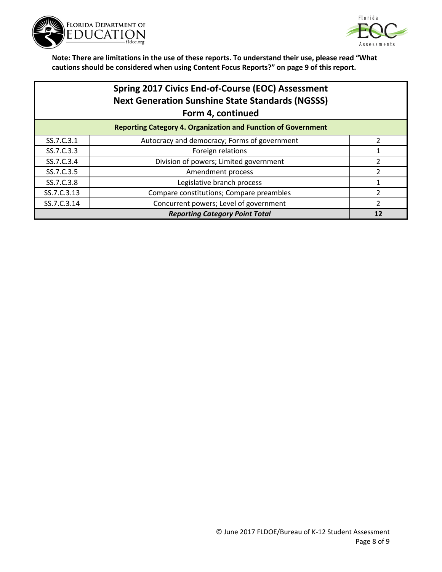



| <b>Spring 2017 Civics End-of-Course (EOC) Assessment</b> |
|----------------------------------------------------------|
| <b>Next Generation Sunshine State Standards (NGSSS)</b>  |
| Form 4, continued                                        |
|                                                          |

| <b>Reporting Category 4. Organization and Function of Government</b> |                                              |  |  |
|----------------------------------------------------------------------|----------------------------------------------|--|--|
| SS.7.C.3.1                                                           | Autocracy and democracy; Forms of government |  |  |
| SS.7.C.3.3                                                           | Foreign relations                            |  |  |
| SS.7.C.3.4                                                           | Division of powers; Limited government       |  |  |
| SS.7.C.3.5                                                           | Amendment process                            |  |  |
| SS.7.C.3.8                                                           | Legislative branch process                   |  |  |
| SS.7.C.3.13                                                          | Compare constitutions; Compare preambles     |  |  |
| SS.7.C.3.14                                                          | Concurrent powers; Level of government       |  |  |
| <b>Reporting Category Point Total</b>                                |                                              |  |  |